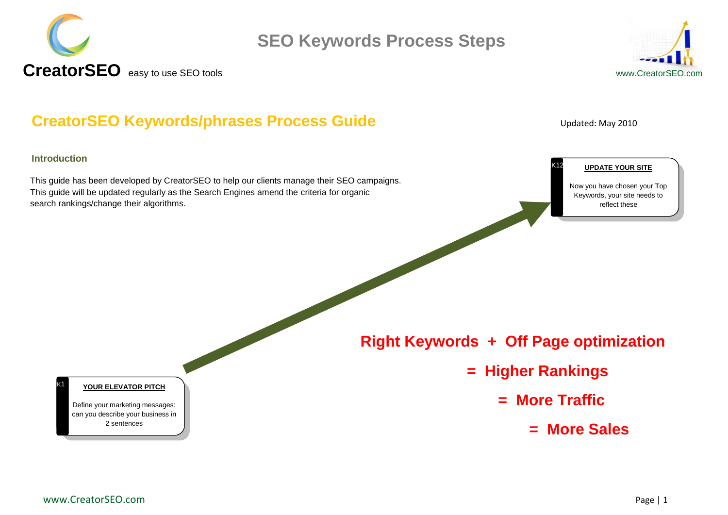



#### <span id="page-0-0"></span>**CreatorSEO Keywords/phrases Process Guide** Updated: May 2010

#### **Introduction**

1K1

This guide has been developed by CreatorSEO to help our clients manage their SEO campaigns. This guide will be updated regularly as the Search Engines amend the criteria for organic search rankings/change their algorithms.

#### **UPDATE YOUR SITE**

Now you have chosen your Top Keywords, your site needs to reflect these

 **Right Keywords + Off Page optimization** 

- **= Higher Rankings** 
	- **= More Traffic**

1 K12

**= More Sales**

#### **YOUR ELEVATOR PITCH**

Define your marketing messages: can you describe your business in 2 sentences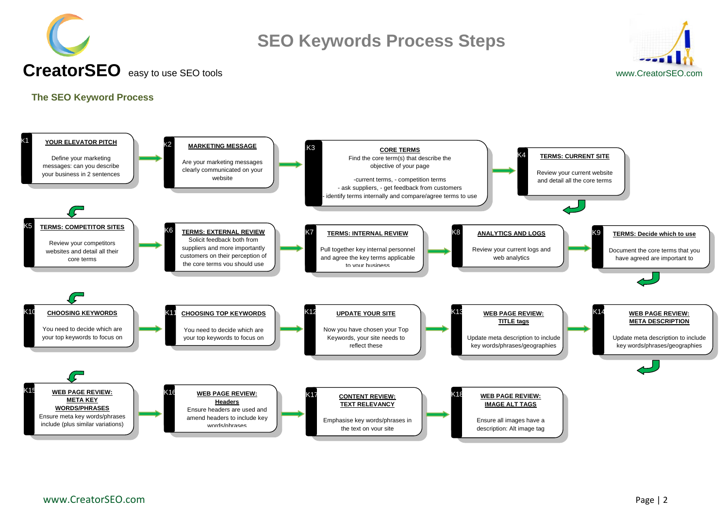



#### <span id="page-1-0"></span>**The SEO Keyword Process**

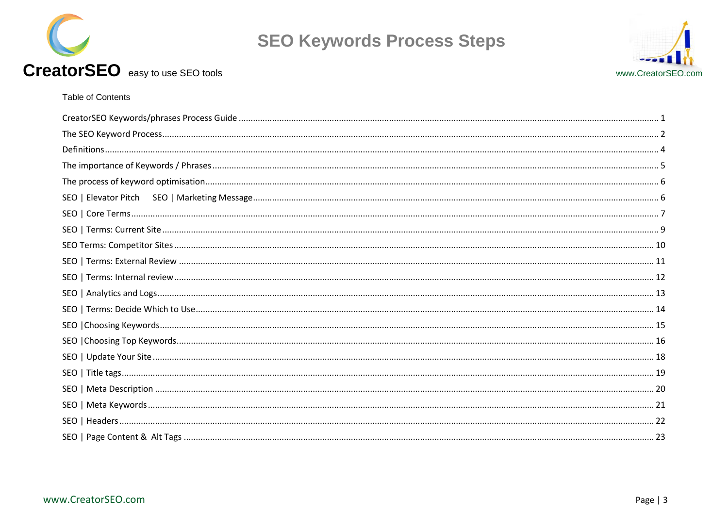



#### CreatorSEO easy to use SEO tools

#### Table of Contents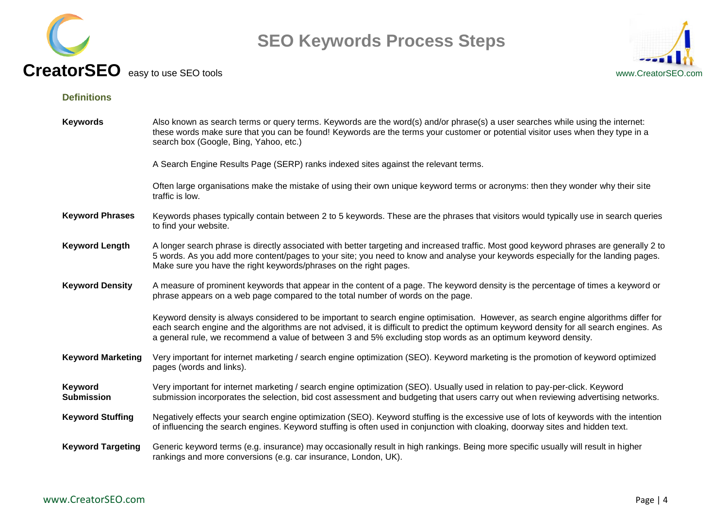



<span id="page-3-0"></span>**Definitions**

| <b>Keywords</b>              | Also known as search terms or query terms. Keywords are the word(s) and/or phrase(s) a user searches while using the internet:<br>these words make sure that you can be found! Keywords are the terms your customer or potential visitor uses when they type in a<br>search box (Google, Bing, Yahoo, etc.)                                                                                     |
|------------------------------|-------------------------------------------------------------------------------------------------------------------------------------------------------------------------------------------------------------------------------------------------------------------------------------------------------------------------------------------------------------------------------------------------|
|                              | A Search Engine Results Page (SERP) ranks indexed sites against the relevant terms.                                                                                                                                                                                                                                                                                                             |
|                              | Often large organisations make the mistake of using their own unique keyword terms or acronyms: then they wonder why their site<br>traffic is low.                                                                                                                                                                                                                                              |
| <b>Keyword Phrases</b>       | Keywords phases typically contain between 2 to 5 keywords. These are the phrases that visitors would typically use in search queries<br>to find your website.                                                                                                                                                                                                                                   |
| <b>Keyword Length</b>        | A longer search phrase is directly associated with better targeting and increased traffic. Most good keyword phrases are generally 2 to<br>5 words. As you add more content/pages to your site; you need to know and analyse your keywords especially for the landing pages.<br>Make sure you have the right keywords/phrases on the right pages.                                               |
| <b>Keyword Density</b>       | A measure of prominent keywords that appear in the content of a page. The keyword density is the percentage of times a keyword or<br>phrase appears on a web page compared to the total number of words on the page.                                                                                                                                                                            |
|                              | Keyword density is always considered to be important to search engine optimisation. However, as search engine algorithms differ for<br>each search engine and the algorithms are not advised, it is difficult to predict the optimum keyword density for all search engines. As<br>a general rule, we recommend a value of between 3 and 5% excluding stop words as an optimum keyword density. |
| <b>Keyword Marketing</b>     | Very important for internet marketing / search engine optimization (SEO). Keyword marketing is the promotion of keyword optimized<br>pages (words and links).                                                                                                                                                                                                                                   |
| Keyword<br><b>Submission</b> | Very important for internet marketing / search engine optimization (SEO). Usually used in relation to pay-per-click. Keyword<br>submission incorporates the selection, bid cost assessment and budgeting that users carry out when reviewing advertising networks.                                                                                                                              |
| <b>Keyword Stuffing</b>      | Negatively effects your search engine optimization (SEO). Keyword stuffing is the excessive use of lots of keywords with the intention<br>of influencing the search engines. Keyword stuffing is often used in conjunction with cloaking, doorway sites and hidden text.                                                                                                                        |
| <b>Keyword Targeting</b>     | Generic keyword terms (e.g. insurance) may occasionally result in high rankings. Being more specific usually will result in higher<br>rankings and more conversions (e.g. car insurance, London, UK).                                                                                                                                                                                           |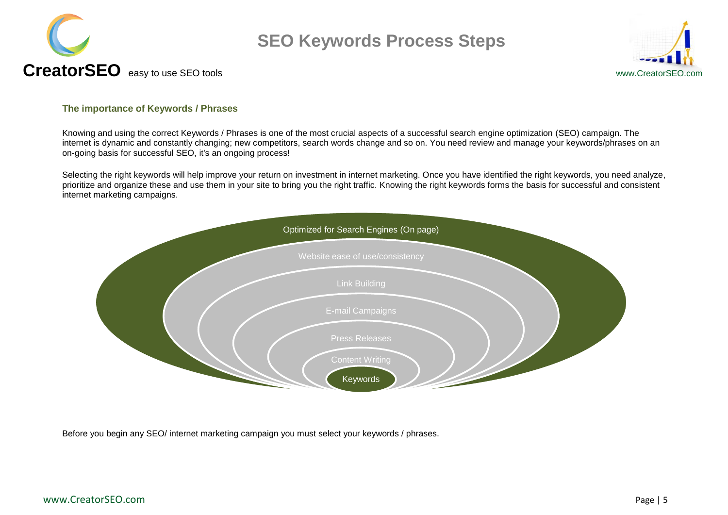



#### <span id="page-4-0"></span>**The importance of Keywords / Phrases**

Knowing and using the correct Keywords / Phrases is one of the most crucial aspects of a successful search engine optimization (SEO) campaign. The internet is dynamic and constantly changing; new competitors, search words change and so on. You need review and manage your keywords/phrases on an on-going basis for successful SEO, it's an ongoing process!

Selecting the right keywords will help improve your return on investment in internet marketing. Once you have identified the right keywords, you need analyze, prioritize and organize these and use them in your site to bring you the right traffic. Knowing the right keywords forms the basis for successful and consistent internet marketing campaigns.



Before you begin any SEO/ internet marketing campaign you must select your keywords / phrases.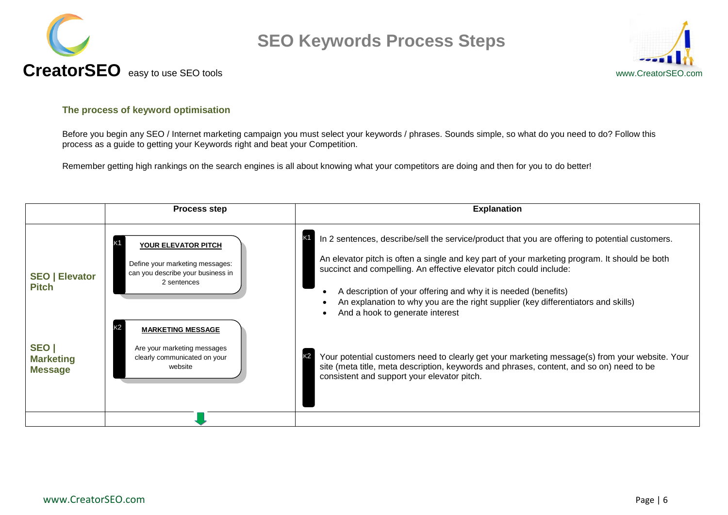



#### <span id="page-5-0"></span>**The process of keyword optimisation**

Before you begin any SEO / Internet marketing campaign you must select your keywords / phrases. Sounds simple, so what do you need to do? Follow this process as a guide to getting your Keywords right and beat your Competition.

Remember getting high rankings on the search engines is all about knowing what your competitors are doing and then for you to do better!

<span id="page-5-1"></span>

|                                           | <b>Process step</b>                                                                                        | <b>Explanation</b>                                                                                                                                                                                                                                                                                                                                                                                                                                                      |
|-------------------------------------------|------------------------------------------------------------------------------------------------------------|-------------------------------------------------------------------------------------------------------------------------------------------------------------------------------------------------------------------------------------------------------------------------------------------------------------------------------------------------------------------------------------------------------------------------------------------------------------------------|
| <b>SEO   Elevator</b><br><b>Pitch</b>     | YOUR ELEVATOR PITCH<br>Define your marketing messages:<br>can you describe your business in<br>2 sentences | K1<br>In 2 sentences, describe/sell the service/product that you are offering to potential customers.<br>An elevator pitch is often a single and key part of your marketing program. It should be both<br>succinct and compelling. An effective elevator pitch could include:<br>A description of your offering and why it is needed (benefits)<br>An explanation to why you are the right supplier (key differentiators and skills)<br>And a hook to generate interest |
| SEO<br><b>Marketing</b><br><b>Message</b> | <b>MARKETING MESSAGE</b><br>Are your marketing messages<br>clearly communicated on your<br>website         | K2<br>Your potential customers need to clearly get your marketing message(s) from your website. Your<br>site (meta title, meta description, keywords and phrases, content, and so on) need to be<br>consistent and support your elevator pitch.                                                                                                                                                                                                                         |
|                                           |                                                                                                            |                                                                                                                                                                                                                                                                                                                                                                                                                                                                         |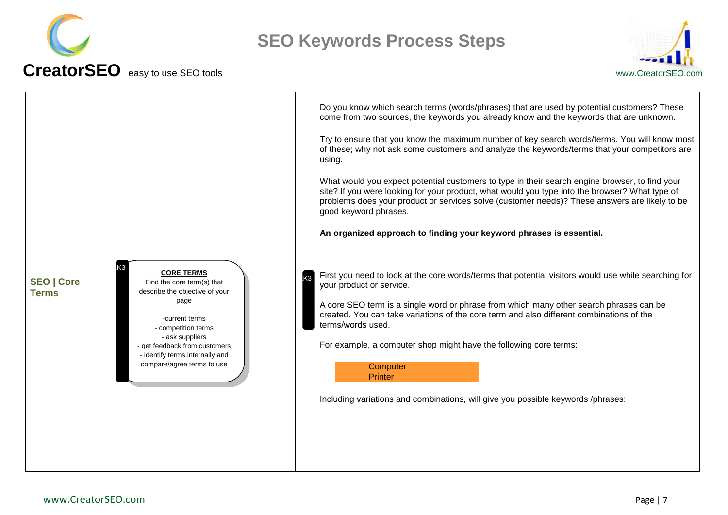



<span id="page-6-0"></span>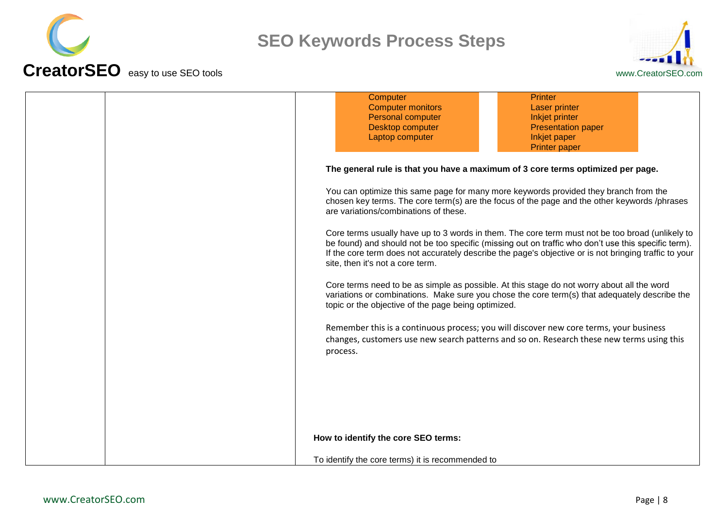



| Computer<br><b>Printer</b>                                                                                                                                                                                                                                                                                                                          |
|-----------------------------------------------------------------------------------------------------------------------------------------------------------------------------------------------------------------------------------------------------------------------------------------------------------------------------------------------------|
| <b>Computer monitors</b><br><b>Laser printer</b>                                                                                                                                                                                                                                                                                                    |
| Personal computer<br>Inkjet printer                                                                                                                                                                                                                                                                                                                 |
| Desktop computer<br><b>Presentation paper</b>                                                                                                                                                                                                                                                                                                       |
| Laptop computer<br>Inkjet paper                                                                                                                                                                                                                                                                                                                     |
|                                                                                                                                                                                                                                                                                                                                                     |
| <b>Printer paper</b>                                                                                                                                                                                                                                                                                                                                |
| The general rule is that you have a maximum of 3 core terms optimized per page.                                                                                                                                                                                                                                                                     |
| You can optimize this same page for many more keywords provided they branch from the<br>chosen key terms. The core term(s) are the focus of the page and the other keywords /phrases<br>are variations/combinations of these.                                                                                                                       |
| Core terms usually have up to 3 words in them. The core term must not be too broad (unlikely to<br>be found) and should not be too specific (missing out on traffic who don't use this specific term).<br>If the core term does not accurately describe the page's objective or is not bringing traffic to your<br>site, then it's not a core term. |
| Core terms need to be as simple as possible. At this stage do not worry about all the word<br>variations or combinations. Make sure you chose the core term(s) that adequately describe the<br>topic or the objective of the page being optimized.                                                                                                  |
| Remember this is a continuous process; you will discover new core terms, your business                                                                                                                                                                                                                                                              |
| changes, customers use new search patterns and so on. Research these new terms using this<br>process.                                                                                                                                                                                                                                               |
|                                                                                                                                                                                                                                                                                                                                                     |
|                                                                                                                                                                                                                                                                                                                                                     |
|                                                                                                                                                                                                                                                                                                                                                     |
|                                                                                                                                                                                                                                                                                                                                                     |
|                                                                                                                                                                                                                                                                                                                                                     |
|                                                                                                                                                                                                                                                                                                                                                     |
| How to identify the core SEO terms:                                                                                                                                                                                                                                                                                                                 |
| To identify the core terms) it is recommended to                                                                                                                                                                                                                                                                                                    |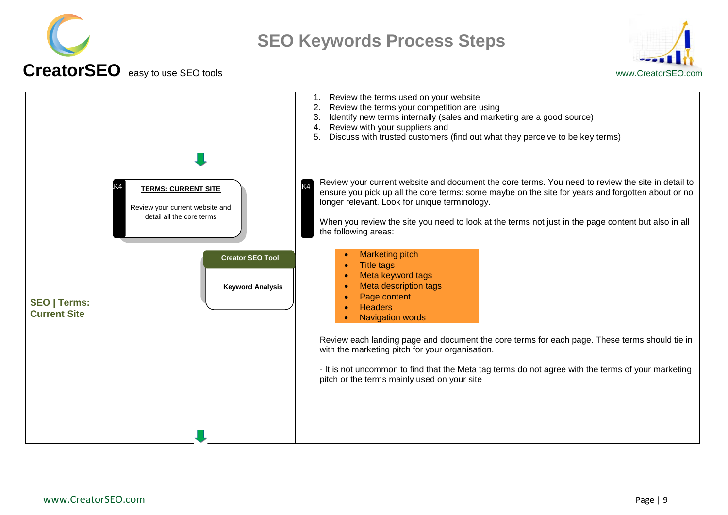



<span id="page-8-0"></span>

|                                            |                                                                                            | Review the terms used on your website<br>1.<br>Review the terms your competition are using<br>2.<br>Identify new terms internally (sales and marketing are a good source)<br>3.<br>Review with your suppliers and<br>4.<br>Discuss with trusted customers (find out what they perceive to be key terms)                                                                                |
|--------------------------------------------|--------------------------------------------------------------------------------------------|----------------------------------------------------------------------------------------------------------------------------------------------------------------------------------------------------------------------------------------------------------------------------------------------------------------------------------------------------------------------------------------|
|                                            |                                                                                            |                                                                                                                                                                                                                                                                                                                                                                                        |
|                                            | <b>TERMS: CURRENT SITE</b><br>Review your current website and<br>detail all the core terms | Review your current website and document the core terms. You need to review the site in detail to<br>ensure you pick up all the core terms: some maybe on the site for years and forgotten about or no<br>longer relevant. Look for unique terminology.<br>When you review the site you need to look at the terms not just in the page content but also in all<br>the following areas: |
| <b>SEO   Terms:</b><br><b>Current Site</b> | <b>Creator SEO Tool</b><br><b>Keyword Analysis</b>                                         | <b>Marketing pitch</b><br><b>Title tags</b><br>Meta keyword tags<br>Meta description tags<br>Page content<br><b>Headers</b><br><b>Navigation words</b>                                                                                                                                                                                                                                 |
|                                            |                                                                                            | Review each landing page and document the core terms for each page. These terms should tie in<br>with the marketing pitch for your organisation.<br>- It is not uncommon to find that the Meta tag terms do not agree with the terms of your marketing<br>pitch or the terms mainly used on your site                                                                                  |
|                                            |                                                                                            |                                                                                                                                                                                                                                                                                                                                                                                        |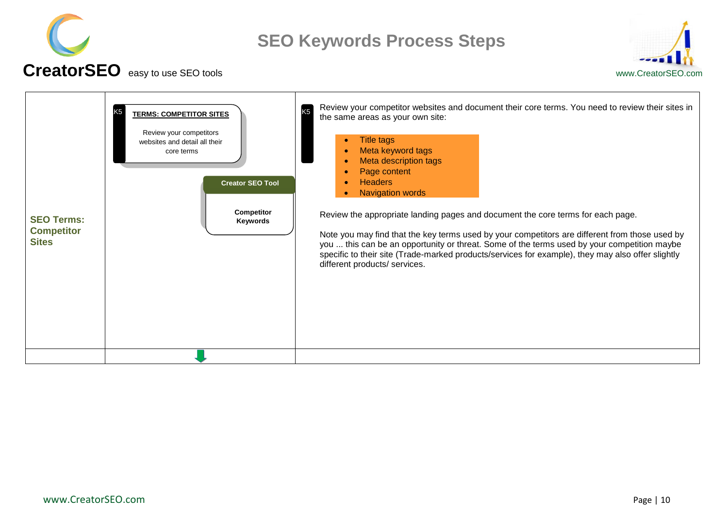



<span id="page-9-0"></span>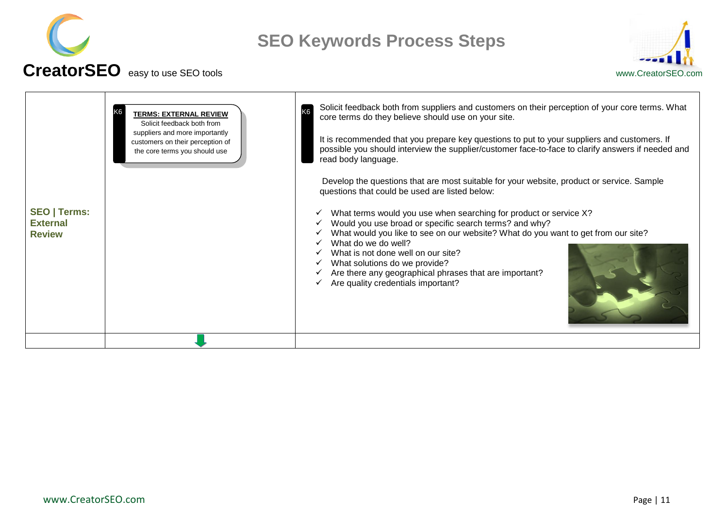



<span id="page-10-0"></span>

| <b>SEO   Terms:</b><br><b>External</b><br><b>Review</b> | <b>TERMS: EXTERNAL REVIEW</b><br>Solicit feedback both from<br>suppliers and more importantly<br>customers on their perception of<br>the core terms you should use | Solicit feedback both from suppliers and customers on their perception of your core terms. What<br>K <sub>6</sub><br>core terms do they believe should use on your site.<br>It is recommended that you prepare key questions to put to your suppliers and customers. If<br>possible you should interview the supplier/customer face-to-face to clarify answers if needed and<br>read body language.<br>Develop the questions that are most suitable for your website, product or service. Sample<br>questions that could be used are listed below:<br>What terms would you use when searching for product or service X?<br>Would you use broad or specific search terms? and why?<br>What would you like to see on our website? What do you want to get from our site?<br>What do we do well?<br>What is not done well on our site?<br>What solutions do we provide?<br>Are there any geographical phrases that are important?<br>Are quality credentials important? |
|---------------------------------------------------------|--------------------------------------------------------------------------------------------------------------------------------------------------------------------|----------------------------------------------------------------------------------------------------------------------------------------------------------------------------------------------------------------------------------------------------------------------------------------------------------------------------------------------------------------------------------------------------------------------------------------------------------------------------------------------------------------------------------------------------------------------------------------------------------------------------------------------------------------------------------------------------------------------------------------------------------------------------------------------------------------------------------------------------------------------------------------------------------------------------------------------------------------------|
|                                                         |                                                                                                                                                                    |                                                                                                                                                                                                                                                                                                                                                                                                                                                                                                                                                                                                                                                                                                                                                                                                                                                                                                                                                                      |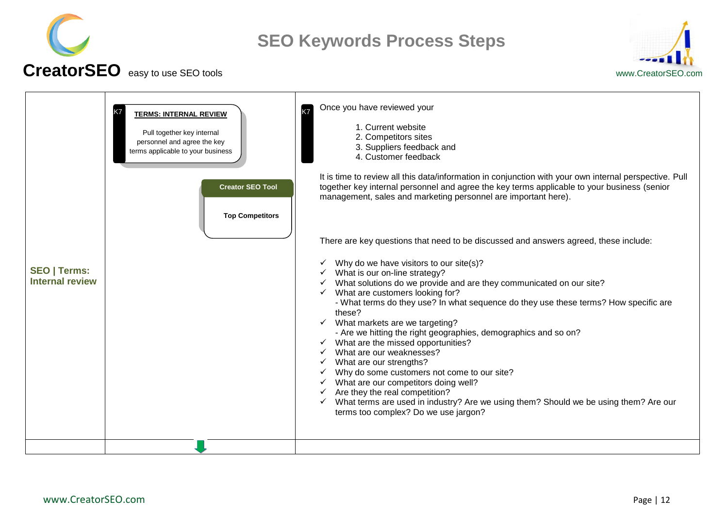



<span id="page-11-0"></span>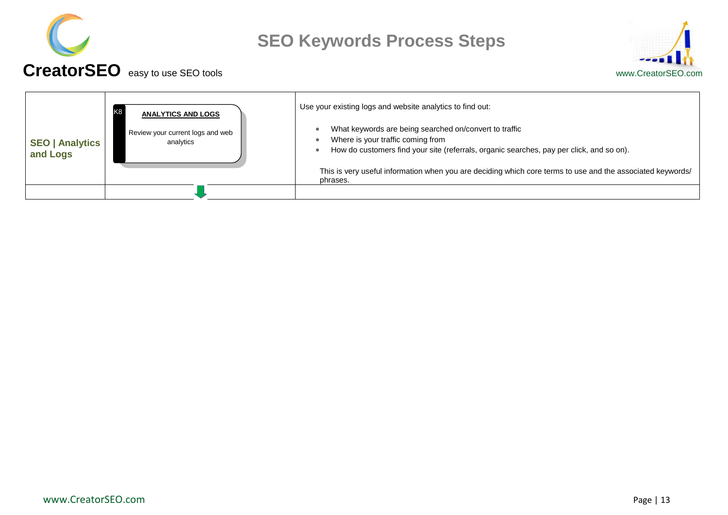



<span id="page-12-0"></span>

| <b>SEO   Analytics</b><br>and Logs | K <sub>8</sub><br><b>ANALYTICS AND LOGS</b>   | Use your existing logs and website analytics to find out:                                                                                                                               |
|------------------------------------|-----------------------------------------------|-----------------------------------------------------------------------------------------------------------------------------------------------------------------------------------------|
|                                    | Review your current logs and web<br>analytics | What keywords are being searched on/convert to traffic<br>Where is your traffic coming from<br>How do customers find your site (referrals, organic searches, pay per click, and so on). |
|                                    |                                               | This is very useful information when you are deciding which core terms to use and the associated keywords/<br>phrases.                                                                  |
|                                    |                                               |                                                                                                                                                                                         |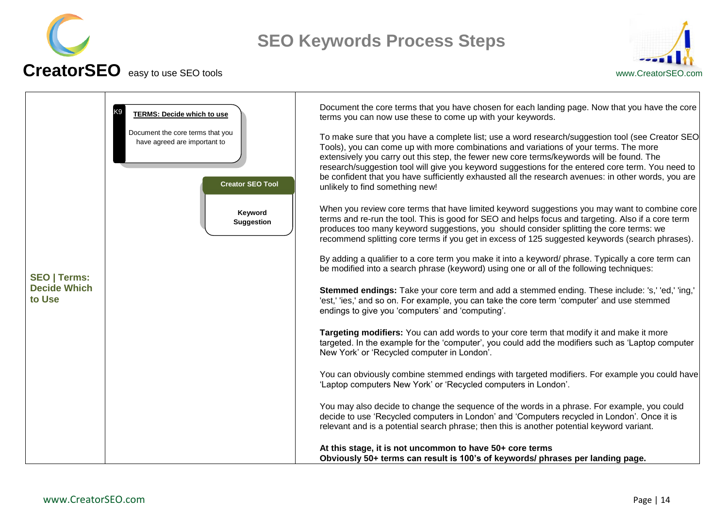



<span id="page-13-0"></span>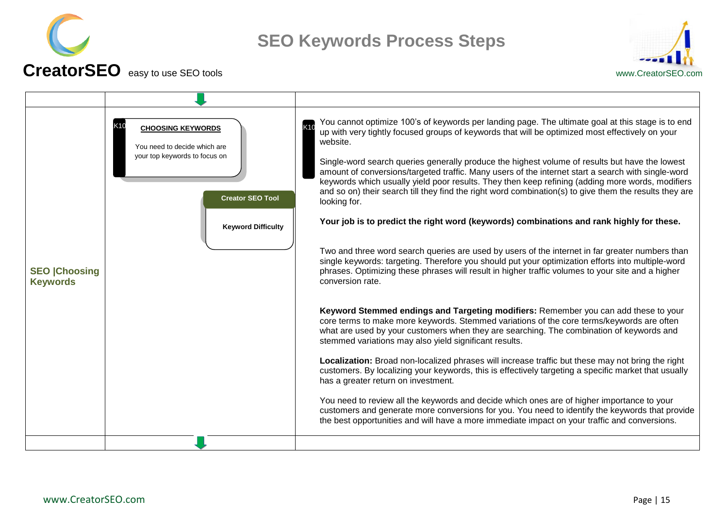



<span id="page-14-0"></span>**SEO |Choosing Keywords** You cannot optimize 100"s of keywords per landing page. The ultimate goal at this stage is to end up with very tightly focused groups of keywords that will be optimized most effectively on your website. Single-word search queries generally produce the highest volume of results but have the lowest amount of conversions/targeted traffic. Many users of the internet start a search with single-word keywords which usually yield poor results. They then keep refining (adding more words, modifiers and so on) their search till they find the right word combination(s) to give them the results they are looking for. **Your job is to predict the right word (keywords) combinations and rank highly for these.** Two and three word search queries are used by users of the internet in far greater numbers than single keywords: targeting. Therefore you should put your optimization efforts into multiple-word phrases. Optimizing these phrases will result in higher traffic volumes to your site and a higher conversion rate. **Keyword Stemmed endings and Targeting modifiers:** Remember you can add these to your core terms to make more keywords. Stemmed variations of the core terms/keywords are often what are used by your customers when they are searching. The combination of keywords and stemmed variations may also vield significant results. **Localization:** Broad non-localized phrases will increase traffic but these may not bring the right customers. By localizing your keywords, this is effectively targeting a specific market that usually has a greater return on investment. You need to review all the keywords and decide which ones are of higher importance to your customers and generate more conversions for you. You need to identify the keywords that provide the best opportunities and will have a more immediate impact on your traffic and conversions. **K10 CHOOSING KEYWORDS NEXT READER** You need to decide which are your top keywords to focus on **Keyword Difficulty Creator SEO Tool**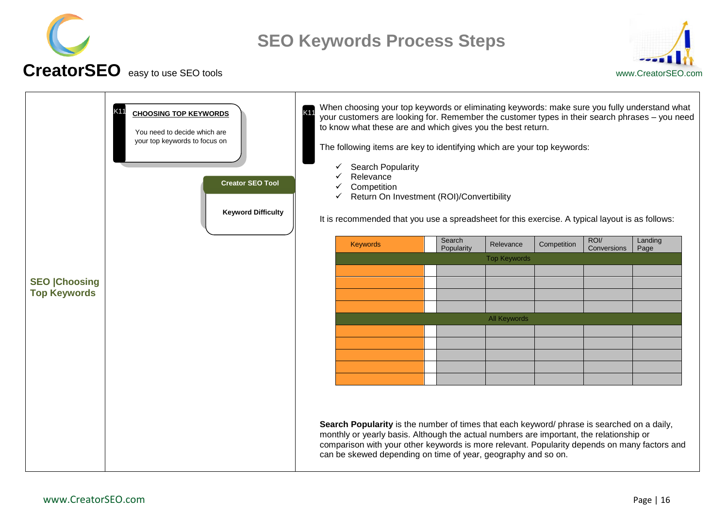



<span id="page-15-0"></span>

|                                            | Κ1<br><b>CHOOSING TOP KEYWORDS</b><br>You need to decide which are<br>your top keywords to focus on<br><b>Creator SEO Tool</b><br><b>Keyword Difficulty</b> | When choosing your top keywords or eliminating keywords: make sure you fully understand what<br><b>K11</b><br>your customers are looking for. Remember the customer types in their search phrases - you need<br>to know what these are and which gives you the best return.<br>The following items are key to identifying which are your top keywords:<br><b>Search Popularity</b><br>✓<br>Relevance<br>Competition<br>Return On Investment (ROI)/Convertibility<br>It is recommended that you use a spreadsheet for this exercise. A typical layout is as follows: |                 |
|--------------------------------------------|-------------------------------------------------------------------------------------------------------------------------------------------------------------|---------------------------------------------------------------------------------------------------------------------------------------------------------------------------------------------------------------------------------------------------------------------------------------------------------------------------------------------------------------------------------------------------------------------------------------------------------------------------------------------------------------------------------------------------------------------|-----------------|
|                                            |                                                                                                                                                             | ROI/<br>Search<br>Keywords<br>Relevance<br>Competition<br>Popularity<br>Conversions<br><b>Top Keywords</b>                                                                                                                                                                                                                                                                                                                                                                                                                                                          | Landing<br>Page |
|                                            |                                                                                                                                                             |                                                                                                                                                                                                                                                                                                                                                                                                                                                                                                                                                                     |                 |
| <b>SEO Choosing</b><br><b>Top Keywords</b> |                                                                                                                                                             |                                                                                                                                                                                                                                                                                                                                                                                                                                                                                                                                                                     |                 |
|                                            |                                                                                                                                                             |                                                                                                                                                                                                                                                                                                                                                                                                                                                                                                                                                                     |                 |
|                                            |                                                                                                                                                             | <b>All Keywords</b>                                                                                                                                                                                                                                                                                                                                                                                                                                                                                                                                                 |                 |
|                                            |                                                                                                                                                             |                                                                                                                                                                                                                                                                                                                                                                                                                                                                                                                                                                     |                 |
|                                            |                                                                                                                                                             |                                                                                                                                                                                                                                                                                                                                                                                                                                                                                                                                                                     |                 |
|                                            |                                                                                                                                                             |                                                                                                                                                                                                                                                                                                                                                                                                                                                                                                                                                                     |                 |
|                                            |                                                                                                                                                             |                                                                                                                                                                                                                                                                                                                                                                                                                                                                                                                                                                     |                 |
|                                            |                                                                                                                                                             | Search Popularity is the number of times that each keyword/ phrase is searched on a daily,<br>monthly or yearly basis. Although the actual numbers are important, the relationship or<br>comparison with your other keywords is more relevant. Popularity depends on many factors and<br>can be skewed depending on time of year, geography and so on.                                                                                                                                                                                                              |                 |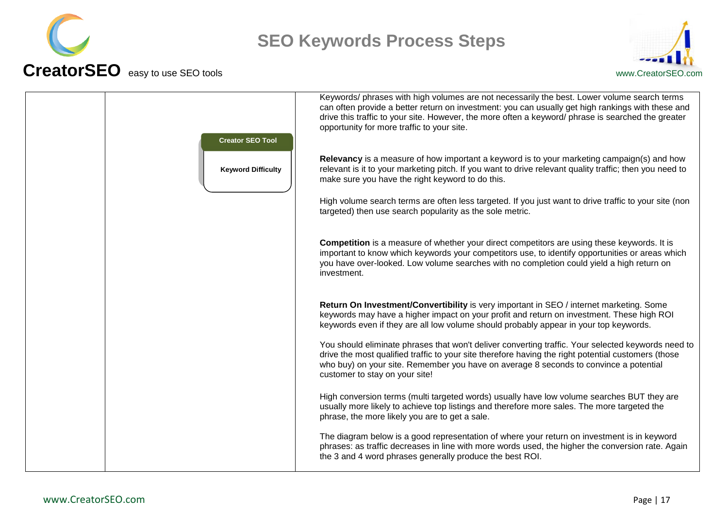



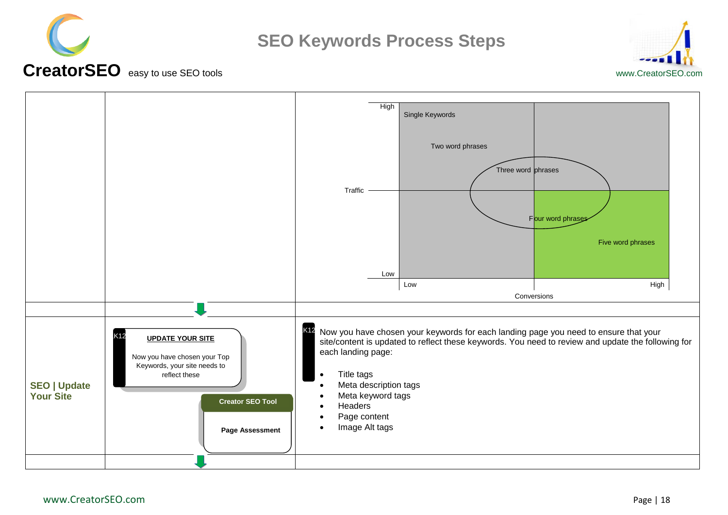



#### **CreatorSEO** easy to use SEO toolswww.CreatorSEO.com

<span id="page-17-0"></span>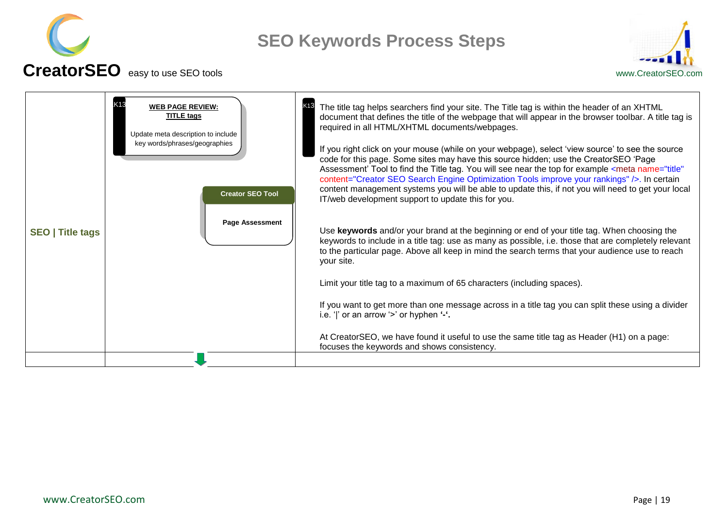



<span id="page-18-0"></span>

| <b>SEO</b>   Title tags | K13<br><b>WEB PAGE REVIEW:</b><br><b>TITLE tags</b><br>Update meta description to include<br>key words/phrases/geographies<br><b>Creator SEO Tool</b><br><b>Page Assessment</b> | K <sub>13</sub><br>The title tag helps searchers find your site. The Title tag is within the header of an XHTML<br>document that defines the title of the webpage that will appear in the browser toolbar. A title tag is<br>required in all HTML/XHTML documents/webpages.<br>If you right click on your mouse (while on your webpage), select 'view source' to see the source<br>code for this page. Some sites may have this source hidden; use the CreatorSEO 'Page<br>Assessment' Tool to find the Title tag. You will see near the top for example <meta <br="" name="title"/> content="Creator SEO Search Engine Optimization Tools improve your rankings" />. In certain<br>content management systems you will be able to update this, if not you will need to get your local<br>IT/web development support to update this for you. |
|-------------------------|---------------------------------------------------------------------------------------------------------------------------------------------------------------------------------|----------------------------------------------------------------------------------------------------------------------------------------------------------------------------------------------------------------------------------------------------------------------------------------------------------------------------------------------------------------------------------------------------------------------------------------------------------------------------------------------------------------------------------------------------------------------------------------------------------------------------------------------------------------------------------------------------------------------------------------------------------------------------------------------------------------------------------------------|
|                         |                                                                                                                                                                                 | Use keywords and/or your brand at the beginning or end of your title tag. When choosing the<br>keywords to include in a title tag: use as many as possible, i.e. those that are completely relevant<br>to the particular page. Above all keep in mind the search terms that your audience use to reach<br>your site.                                                                                                                                                                                                                                                                                                                                                                                                                                                                                                                         |
|                         |                                                                                                                                                                                 | Limit your title tag to a maximum of 65 characters (including spaces).                                                                                                                                                                                                                                                                                                                                                                                                                                                                                                                                                                                                                                                                                                                                                                       |
|                         |                                                                                                                                                                                 | If you want to get more than one message across in a title tag you can split these using a divider<br>i.e. ' ' or an arrow '>' or hyphen $-$ '.                                                                                                                                                                                                                                                                                                                                                                                                                                                                                                                                                                                                                                                                                              |
|                         |                                                                                                                                                                                 | At CreatorSEO, we have found it useful to use the same title tag as Header (H1) on a page:<br>focuses the keywords and shows consistency.                                                                                                                                                                                                                                                                                                                                                                                                                                                                                                                                                                                                                                                                                                    |
|                         |                                                                                                                                                                                 |                                                                                                                                                                                                                                                                                                                                                                                                                                                                                                                                                                                                                                                                                                                                                                                                                                              |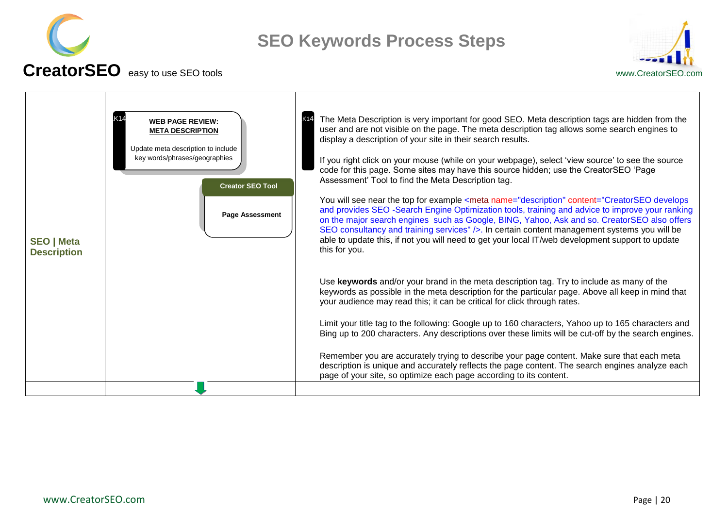



<span id="page-19-0"></span>**SEO | Meta Description** The Meta Description is very important for good SEO. Meta description tags are hidden from the user and are not visible on the page. The meta description tag allows some search engines to display a description of your site in their search results. If you right click on your mouse (while on your webpage), select "view source" to see the source code for this page. Some sites may have this source hidden; use the CreatorSEO "Page Assessment" Tool to find the Meta Description tag. You will see near the top for example <meta name="description" content="CreatorSEO develops and provides SEO -Search Engine Optimization tools, training and advice to improve your ranking on the major search engines such as Google, BING, Yahoo, Ask and so. CreatorSEO also offers SEO consultancy and training services" />. In certain content management systems you will be able to update this, if not you will need to get your local IT/web development support to update this for you. Use **keywords** and/or your brand in the meta description tag. Try to include as many of the keywords as possible in the meta description for the particular page. Above all keep in mind that your audience may read this; it can be critical for click through rates. Limit your title tag to the following: Google up to 160 characters, Yahoo up to 165 characters and Bing up to 200 characters. Any descriptions over these limits will be cut-off by the search engines. Remember you are accurately trying to describe your page content. Make sure that each meta description is unique and accurately reflects the page content. The search engines analyze each page of your site, so optimize each page according to its content. **K14** WEB PAGE REVIEW: New York 14 **META DESCRIPTION** Update meta description to include key words/phrases/geographies **Page Assessment Creator SEO Tool**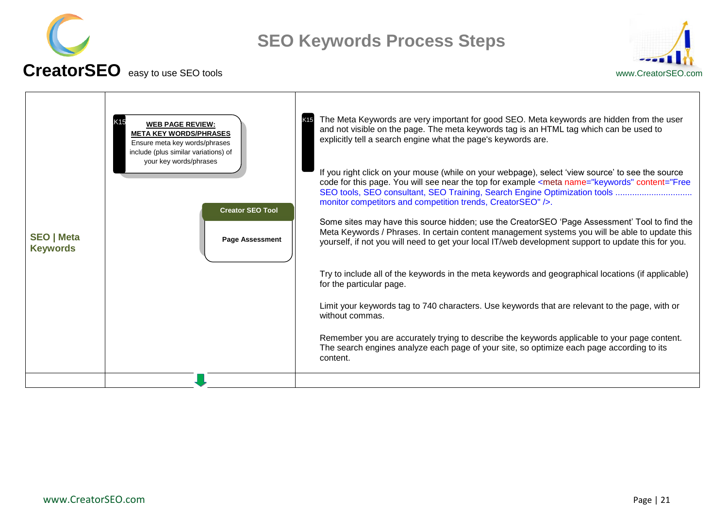



<span id="page-20-0"></span>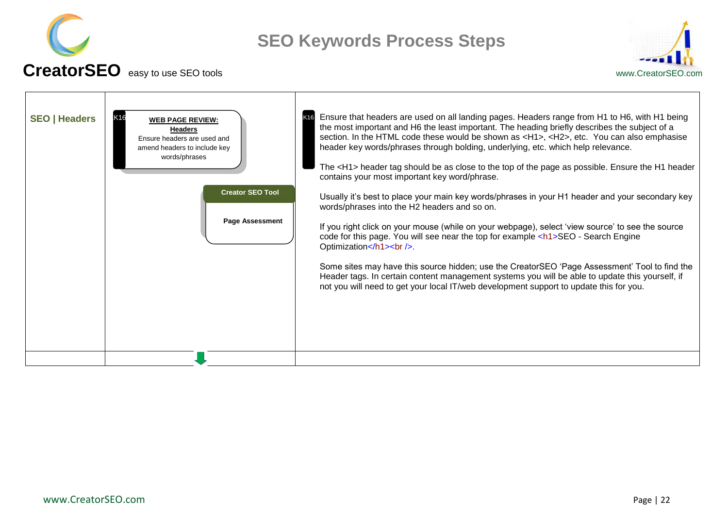



<span id="page-21-0"></span>